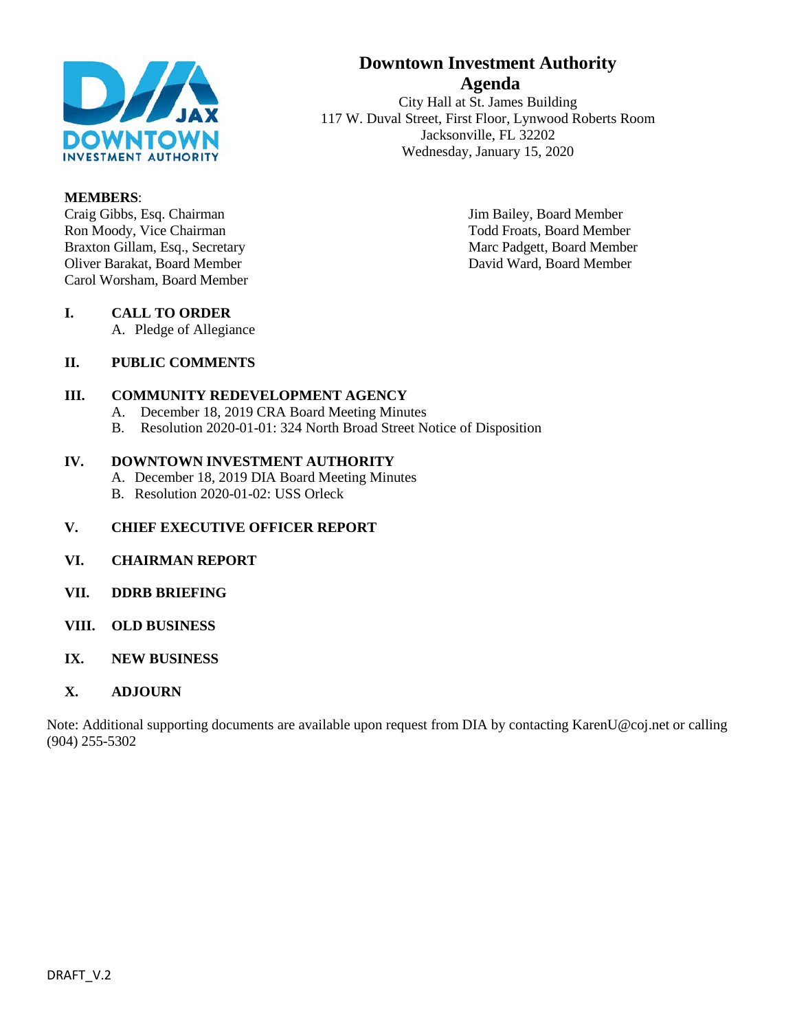

#### **MEMBERS**:

Craig Gibbs, Esq. Chairman Jim Bailey, Board Member<br>
Ron Moody, Vice Chairman Jim Bailey, Board Member<br>
Todd Froats, Board Membe Braxton Gillam, Esq., Secretary Marc Padgett, Board Member Oliver Barakat, Board Member David Ward, Board Member Carol Worsham, Board Member

# **Downtown Investment Authority Agenda**

City Hall at St. James Building 117 W. Duval Street, First Floor, Lynwood Roberts Room Jacksonville, FL 32202 Wednesday, January 15, 2020

Todd Froats, Board Member

#### **I. CALL TO ORDER** A. Pledge of Allegiance

### **II. PUBLIC COMMENTS**

#### **III. COMMUNITY REDEVELOPMENT AGENCY**

- A. December 18, 2019 CRA Board Meeting Minutes
- B. Resolution 2020-01-01: 324 North Broad Street Notice of Disposition

#### **IV. DOWNTOWN INVESTMENT AUTHORITY**

- A. December 18, 2019 DIA Board Meeting Minutes
- B. Resolution 2020-01-02: USS Orleck

### **V. CHIEF EXECUTIVE OFFICER REPORT**

- **VI. CHAIRMAN REPORT**
- **VII. DDRB BRIEFING**
- **VIII. OLD BUSINESS**
- **IX. NEW BUSINESS**
- **X. ADJOURN**

Note: Additional supporting documents are available upon request from DIA by contacting KarenU@coj.net or calling (904) 255-5302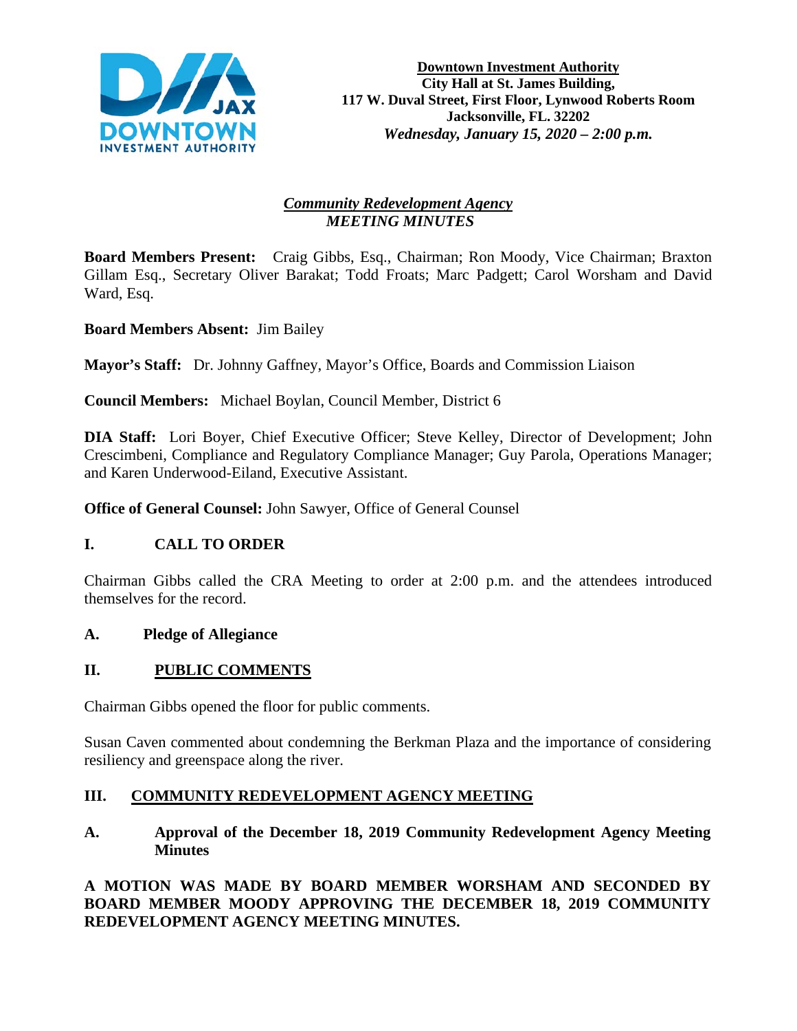

# *Community Redevelopment Agency MEETING MINUTES*

**Board Members Present:** Craig Gibbs, Esq., Chairman; Ron Moody, Vice Chairman; Braxton Gillam Esq., Secretary Oliver Barakat; Todd Froats; Marc Padgett; Carol Worsham and David Ward, Esq.

**Board Members Absent:** Jim Bailey

**Mayor's Staff:** Dr. Johnny Gaffney, Mayor's Office, Boards and Commission Liaison

**Council Members:** Michael Boylan, Council Member, District 6

**DIA Staff:** Lori Boyer, Chief Executive Officer; Steve Kelley, Director of Development; John Crescimbeni, Compliance and Regulatory Compliance Manager; Guy Parola, Operations Manager; and Karen Underwood-Eiland, Executive Assistant.

**Office of General Counsel:** John Sawyer, Office of General Counsel

# **I. CALL TO ORDER**

Chairman Gibbs called the CRA Meeting to order at 2:00 p.m. and the attendees introduced themselves for the record.

### **A. Pledge of Allegiance**

# **II. PUBLIC COMMENTS**

Chairman Gibbs opened the floor for public comments.

Susan Caven commented about condemning the Berkman Plaza and the importance of considering resiliency and greenspace along the river.

# **III. COMMUNITY REDEVELOPMENT AGENCY MEETING**

**A. Approval of the December 18, 2019 Community Redevelopment Agency Meeting Minutes** 

**A MOTION WAS MADE BY BOARD MEMBER WORSHAM AND SECONDED BY BOARD MEMBER MOODY APPROVING THE DECEMBER 18, 2019 COMMUNITY REDEVELOPMENT AGENCY MEETING MINUTES.**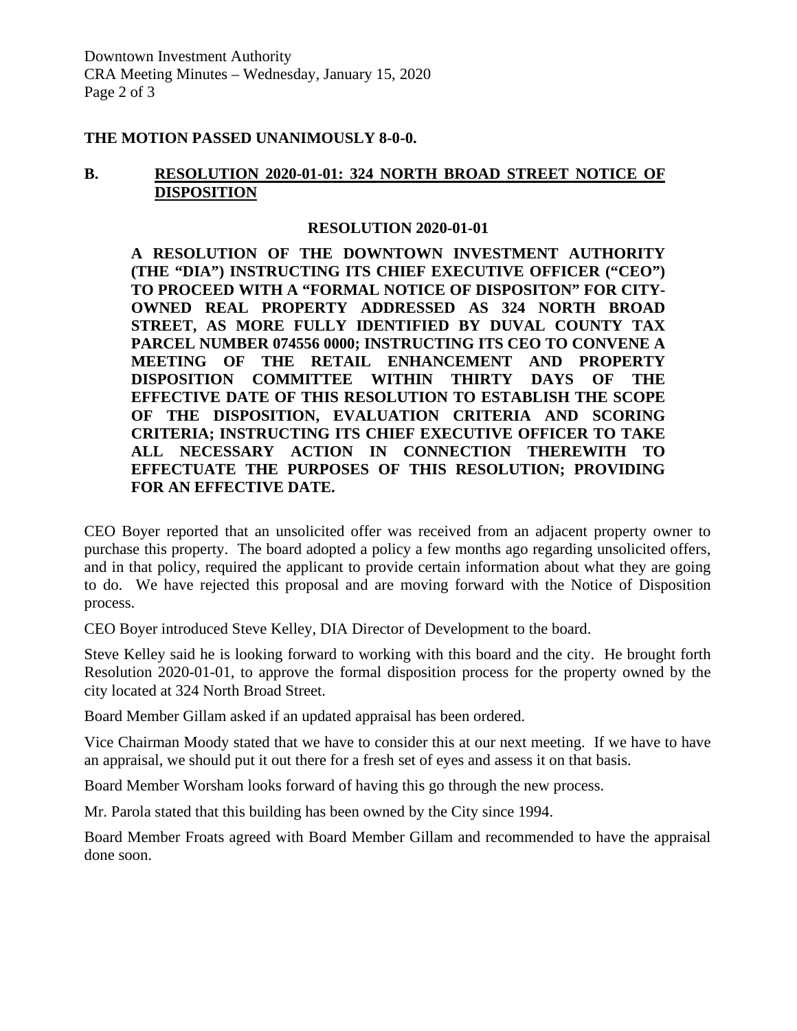### **THE MOTION PASSED UNANIMOUSLY 8-0-0.**

### **B. RESOLUTION 2020-01-01: 324 NORTH BROAD STREET NOTICE OF DISPOSITION**

#### **RESOLUTION 2020-01-01**

**A RESOLUTION OF THE DOWNTOWN INVESTMENT AUTHORITY (THE "DIA") INSTRUCTING ITS CHIEF EXECUTIVE OFFICER ("CEO") TO PROCEED WITH A "FORMAL NOTICE OF DISPOSITON" FOR CITY-OWNED REAL PROPERTY ADDRESSED AS 324 NORTH BROAD STREET, AS MORE FULLY IDENTIFIED BY DUVAL COUNTY TAX PARCEL NUMBER 074556 0000; INSTRUCTING ITS CEO TO CONVENE A MEETING OF THE RETAIL ENHANCEMENT AND PROPERTY DISPOSITION COMMITTEE WITHIN THIRTY DAYS OF THE EFFECTIVE DATE OF THIS RESOLUTION TO ESTABLISH THE SCOPE OF THE DISPOSITION, EVALUATION CRITERIA AND SCORING CRITERIA; INSTRUCTING ITS CHIEF EXECUTIVE OFFICER TO TAKE ALL NECESSARY ACTION IN CONNECTION THEREWITH TO EFFECTUATE THE PURPOSES OF THIS RESOLUTION; PROVIDING FOR AN EFFECTIVE DATE.** 

CEO Boyer reported that an unsolicited offer was received from an adjacent property owner to purchase this property. The board adopted a policy a few months ago regarding unsolicited offers, and in that policy, required the applicant to provide certain information about what they are going to do. We have rejected this proposal and are moving forward with the Notice of Disposition process.

CEO Boyer introduced Steve Kelley, DIA Director of Development to the board.

Steve Kelley said he is looking forward to working with this board and the city. He brought forth Resolution 2020-01-01, to approve the formal disposition process for the property owned by the city located at 324 North Broad Street.

Board Member Gillam asked if an updated appraisal has been ordered.

Vice Chairman Moody stated that we have to consider this at our next meeting. If we have to have an appraisal, we should put it out there for a fresh set of eyes and assess it on that basis.

Board Member Worsham looks forward of having this go through the new process.

Mr. Parola stated that this building has been owned by the City since 1994.

Board Member Froats agreed with Board Member Gillam and recommended to have the appraisal done soon.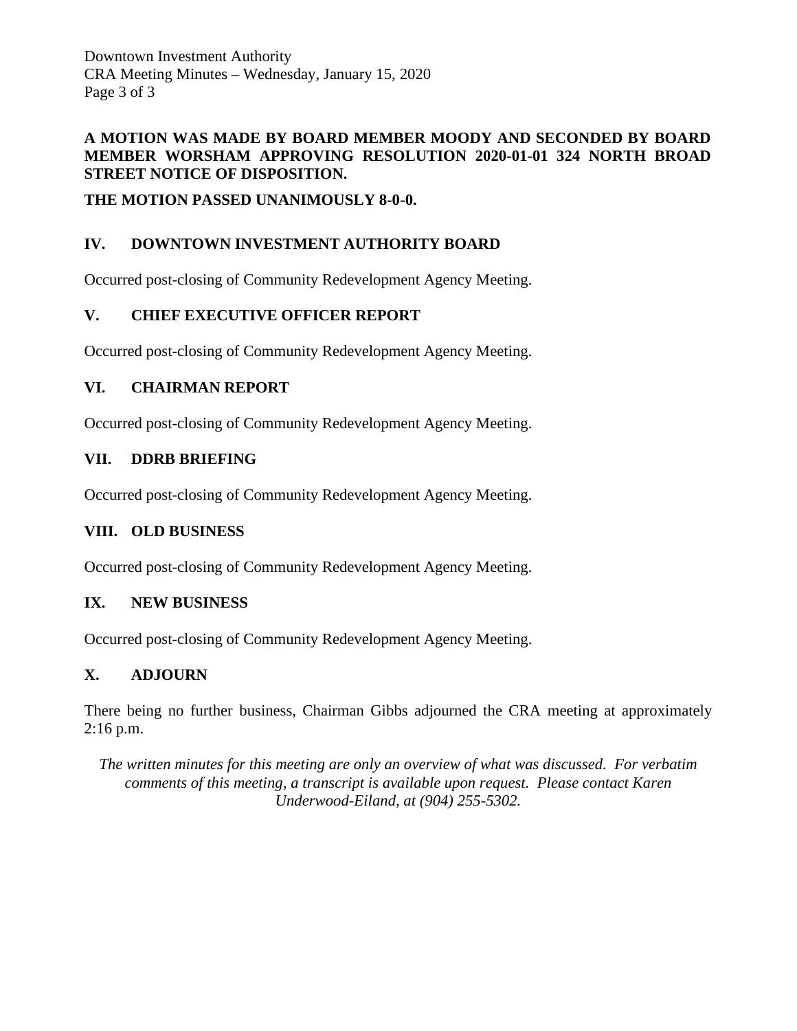Downtown Investment Authority CRA Meeting Minutes – Wednesday, January 15, 2020 Page 3 of 3

### **A MOTION WAS MADE BY BOARD MEMBER MOODY AND SECONDED BY BOARD MEMBER WORSHAM APPROVING RESOLUTION 2020-01-01 324 NORTH BROAD STREET NOTICE OF DISPOSITION.**

**THE MOTION PASSED UNANIMOUSLY 8-0-0.**

# **IV. DOWNTOWN INVESTMENT AUTHORITY BOARD**

Occurred post-closing of Community Redevelopment Agency Meeting.

# **V. CHIEF EXECUTIVE OFFICER REPORT**

Occurred post-closing of Community Redevelopment Agency Meeting.

## **VI. CHAIRMAN REPORT**

Occurred post-closing of Community Redevelopment Agency Meeting.

## **VII. DDRB BRIEFING**

Occurred post-closing of Community Redevelopment Agency Meeting.

### **VIII. OLD BUSINESS**

Occurred post-closing of Community Redevelopment Agency Meeting.

# **IX. NEW BUSINESS**

Occurred post-closing of Community Redevelopment Agency Meeting.

# **X. ADJOURN**

There being no further business, Chairman Gibbs adjourned the CRA meeting at approximately 2:16 p.m.

*The written minutes for this meeting are only an overview of what was discussed. For verbatim comments of this meeting, a transcript is available upon request. Please contact Karen Underwood-Eiland, at (904) 255-5302.*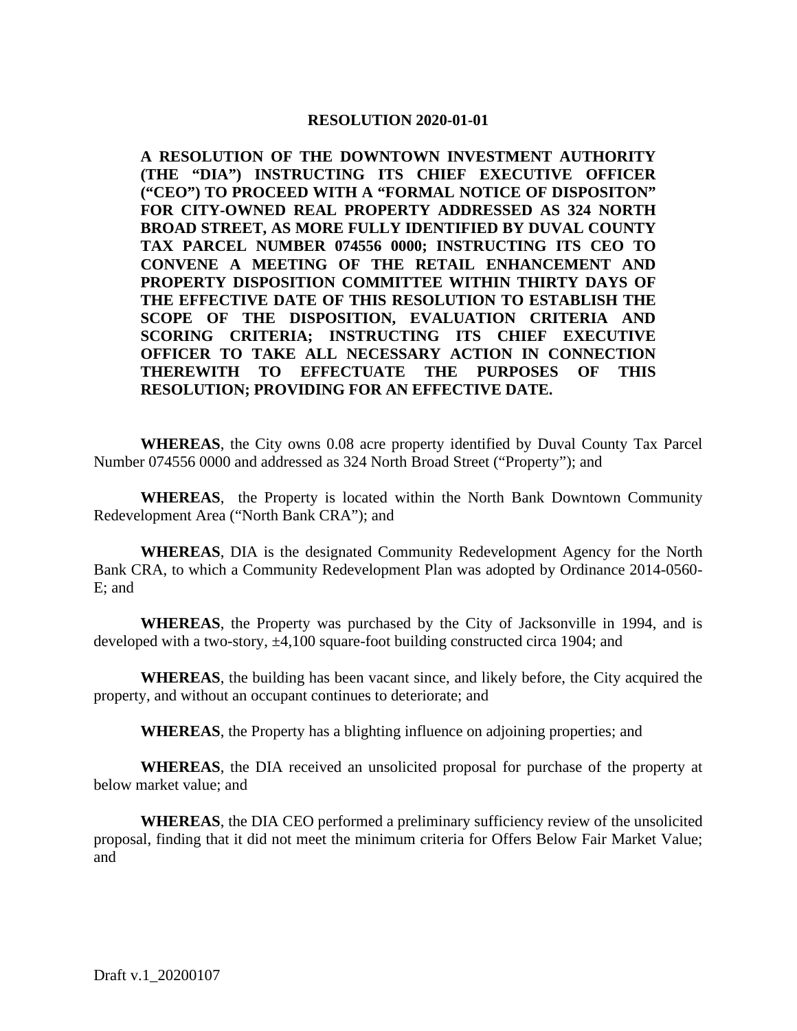#### **RESOLUTION 2020-01-01**

**A RESOLUTION OF THE DOWNTOWN INVESTMENT AUTHORITY (THE "DIA") INSTRUCTING ITS CHIEF EXECUTIVE OFFICER ("CEO") TO PROCEED WITH A "FORMAL NOTICE OF DISPOSITON" FOR CITY-OWNED REAL PROPERTY ADDRESSED AS 324 NORTH BROAD STREET, AS MORE FULLY IDENTIFIED BY DUVAL COUNTY TAX PARCEL NUMBER 074556 0000; INSTRUCTING ITS CEO TO CONVENE A MEETING OF THE RETAIL ENHANCEMENT AND PROPERTY DISPOSITION COMMITTEE WITHIN THIRTY DAYS OF THE EFFECTIVE DATE OF THIS RESOLUTION TO ESTABLISH THE SCOPE OF THE DISPOSITION, EVALUATION CRITERIA AND SCORING CRITERIA; INSTRUCTING ITS CHIEF EXECUTIVE OFFICER TO TAKE ALL NECESSARY ACTION IN CONNECTION THEREWITH TO EFFECTUATE THE PURPOSES OF THIS RESOLUTION; PROVIDING FOR AN EFFECTIVE DATE.** 

**WHEREAS**, the City owns 0.08 acre property identified by Duval County Tax Parcel Number 074556 0000 and addressed as 324 North Broad Street ("Property"); and

**WHEREAS**, the Property is located within the North Bank Downtown Community Redevelopment Area ("North Bank CRA"); and

**WHEREAS**, DIA is the designated Community Redevelopment Agency for the North Bank CRA, to which a Community Redevelopment Plan was adopted by Ordinance 2014-0560- E; and

**WHEREAS**, the Property was purchased by the City of Jacksonville in 1994, and is developed with a two-story,  $\pm 4,100$  square-foot building constructed circa 1904; and

**WHEREAS**, the building has been vacant since, and likely before, the City acquired the property, and without an occupant continues to deteriorate; and

**WHEREAS**, the Property has a blighting influence on adjoining properties; and

**WHEREAS**, the DIA received an unsolicited proposal for purchase of the property at below market value; and

**WHEREAS**, the DIA CEO performed a preliminary sufficiency review of the unsolicited proposal, finding that it did not meet the minimum criteria for Offers Below Fair Market Value; and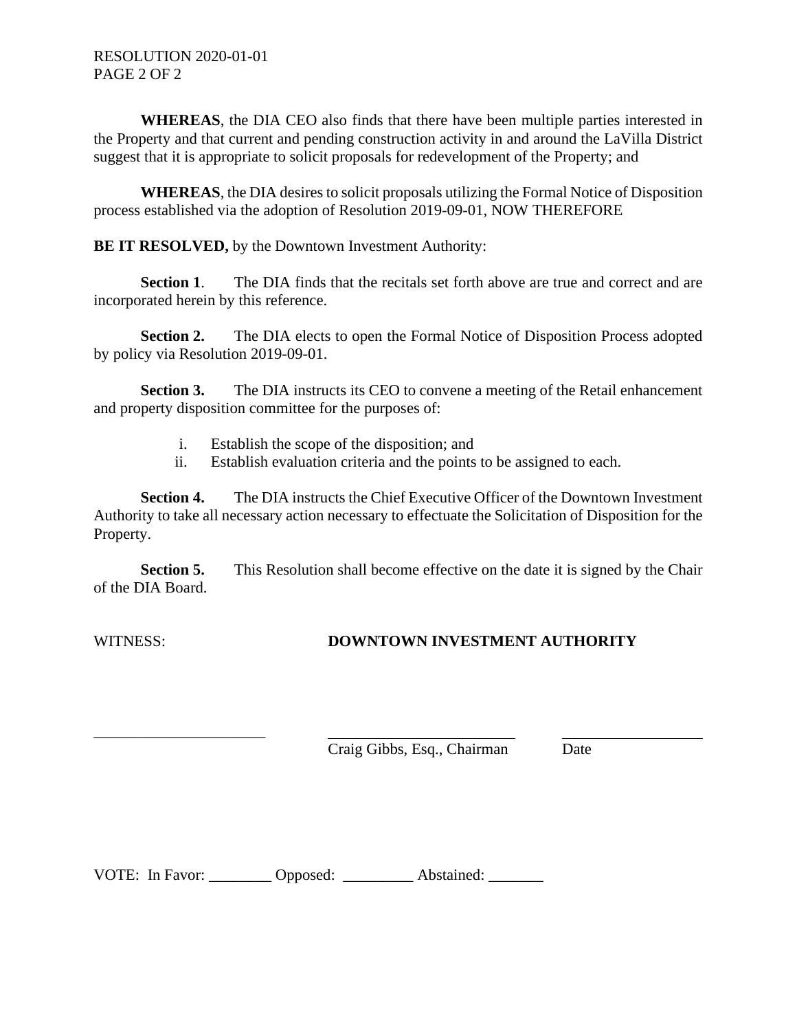**WHEREAS**, the DIA CEO also finds that there have been multiple parties interested in the Property and that current and pending construction activity in and around the LaVilla District suggest that it is appropriate to solicit proposals for redevelopment of the Property; and

**WHEREAS**, the DIA desires to solicit proposals utilizing the Formal Notice of Disposition process established via the adoption of Resolution 2019-09-01, NOW THEREFORE

**BE IT RESOLVED,** by the Downtown Investment Authority:

**Section 1**. The DIA finds that the recitals set forth above are true and correct and are incorporated herein by this reference.

**Section 2.** The DIA elects to open the Formal Notice of Disposition Process adopted by policy via Resolution 2019-09-01.

**Section 3.** The DIA instructs its CEO to convene a meeting of the Retail enhancement and property disposition committee for the purposes of:

- i. Establish the scope of the disposition; and
- ii. Establish evaluation criteria and the points to be assigned to each.

**Section 4.** The DIA instructs the Chief Executive Officer of the Downtown Investment Authority to take all necessary action necessary to effectuate the Solicitation of Disposition for the Property.

**Section 5.** This Resolution shall become effective on the date it is signed by the Chair of the DIA Board.

\_\_\_\_\_\_\_\_\_\_\_\_\_\_\_\_\_\_\_\_\_\_

# WITNESS: **DOWNTOWN INVESTMENT AUTHORITY**

Craig Gibbs, Esq., Chairman Date

VOTE: In Favor: \_\_\_\_\_\_\_\_ Opposed: \_\_\_\_\_\_\_\_\_ Abstained: \_\_\_\_\_\_\_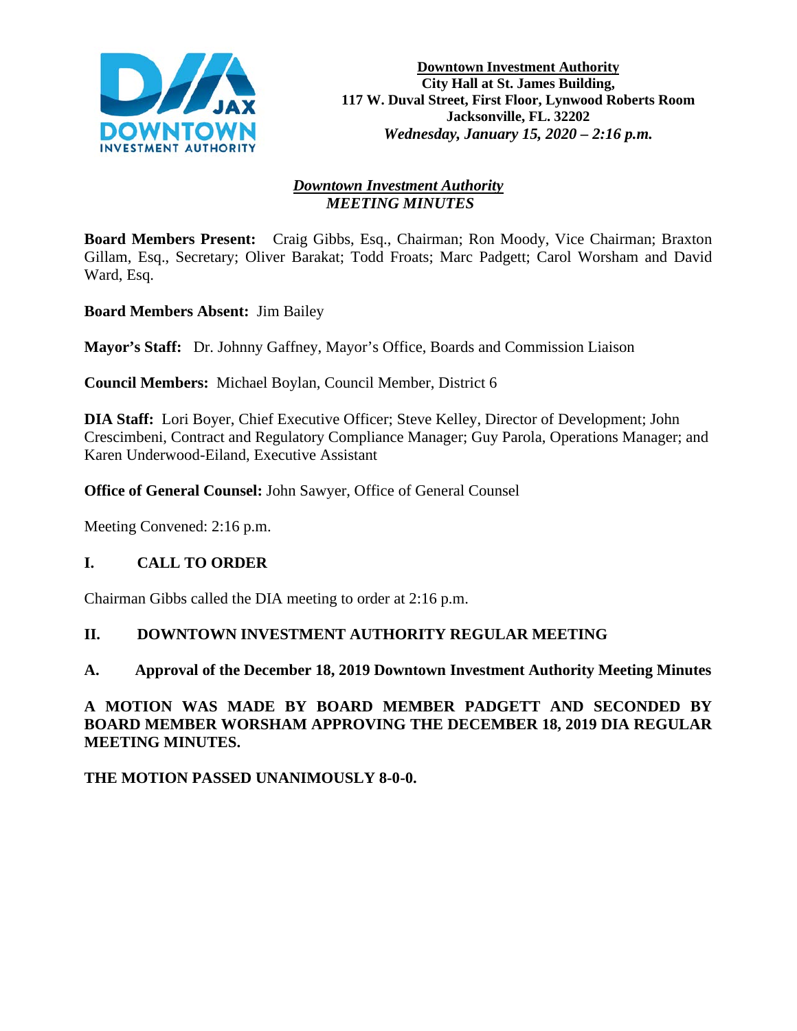

# *Downtown Investment Authority MEETING MINUTES*

**Board Members Present:** Craig Gibbs, Esq., Chairman; Ron Moody, Vice Chairman; Braxton Gillam, Esq., Secretary; Oliver Barakat; Todd Froats; Marc Padgett; Carol Worsham and David Ward, Esq.

**Board Members Absent:** Jim Bailey

**Mayor's Staff:** Dr. Johnny Gaffney, Mayor's Office, Boards and Commission Liaison

**Council Members:** Michael Boylan, Council Member, District 6

**DIA Staff:** Lori Boyer, Chief Executive Officer; Steve Kelley, Director of Development; John Crescimbeni, Contract and Regulatory Compliance Manager; Guy Parola, Operations Manager; and Karen Underwood-Eiland, Executive Assistant

**Office of General Counsel:** John Sawyer, Office of General Counsel

Meeting Convened: 2:16 p.m.

# **I. CALL TO ORDER**

Chairman Gibbs called the DIA meeting to order at 2:16 p.m.

### **II. DOWNTOWN INVESTMENT AUTHORITY REGULAR MEETING**

### **A. Approval of the December 18, 2019 Downtown Investment Authority Meeting Minutes**

**A MOTION WAS MADE BY BOARD MEMBER PADGETT AND SECONDED BY BOARD MEMBER WORSHAM APPROVING THE DECEMBER 18, 2019 DIA REGULAR MEETING MINUTES.** 

**THE MOTION PASSED UNANIMOUSLY 8-0-0.**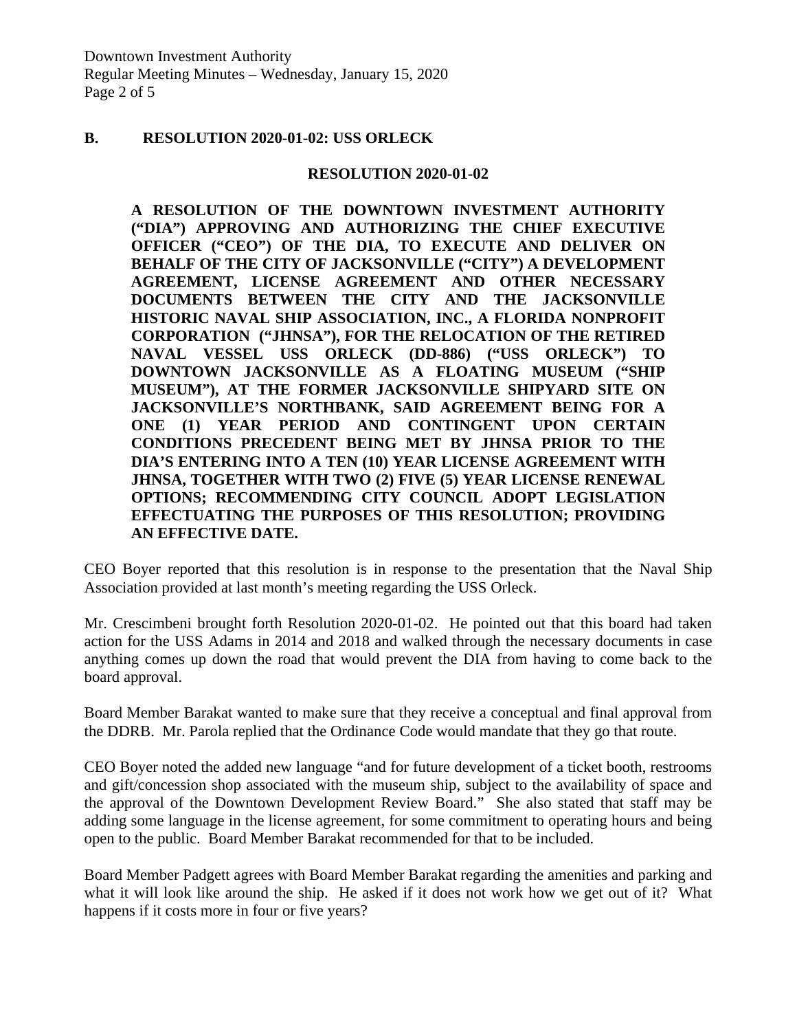### **B. RESOLUTION 2020-01-02: USS ORLECK**

#### **RESOLUTION 2020-01-02**

**A RESOLUTION OF THE DOWNTOWN INVESTMENT AUTHORITY ("DIA") APPROVING AND AUTHORIZING THE CHIEF EXECUTIVE OFFICER ("CEO") OF THE DIA, TO EXECUTE AND DELIVER ON BEHALF OF THE CITY OF JACKSONVILLE ("CITY") A DEVELOPMENT AGREEMENT, LICENSE AGREEMENT AND OTHER NECESSARY DOCUMENTS BETWEEN THE CITY AND THE JACKSONVILLE HISTORIC NAVAL SHIP ASSOCIATION, INC., A FLORIDA NONPROFIT CORPORATION ("JHNSA"), FOR THE RELOCATION OF THE RETIRED NAVAL VESSEL USS ORLECK (DD-886) ("USS ORLECK") TO DOWNTOWN JACKSONVILLE AS A FLOATING MUSEUM ("SHIP MUSEUM"), AT THE FORMER JACKSONVILLE SHIPYARD SITE ON JACKSONVILLE'S NORTHBANK, SAID AGREEMENT BEING FOR A ONE (1) YEAR PERIOD AND CONTINGENT UPON CERTAIN CONDITIONS PRECEDENT BEING MET BY JHNSA PRIOR TO THE DIA'S ENTERING INTO A TEN (10) YEAR LICENSE AGREEMENT WITH JHNSA, TOGETHER WITH TWO (2) FIVE (5) YEAR LICENSE RENEWAL OPTIONS; RECOMMENDING CITY COUNCIL ADOPT LEGISLATION EFFECTUATING THE PURPOSES OF THIS RESOLUTION; PROVIDING AN EFFECTIVE DATE.**

CEO Boyer reported that this resolution is in response to the presentation that the Naval Ship Association provided at last month's meeting regarding the USS Orleck.

Mr. Crescimbeni brought forth Resolution 2020-01-02. He pointed out that this board had taken action for the USS Adams in 2014 and 2018 and walked through the necessary documents in case anything comes up down the road that would prevent the DIA from having to come back to the board approval.

Board Member Barakat wanted to make sure that they receive a conceptual and final approval from the DDRB. Mr. Parola replied that the Ordinance Code would mandate that they go that route.

CEO Boyer noted the added new language "and for future development of a ticket booth, restrooms and gift/concession shop associated with the museum ship, subject to the availability of space and the approval of the Downtown Development Review Board." She also stated that staff may be adding some language in the license agreement, for some commitment to operating hours and being open to the public. Board Member Barakat recommended for that to be included.

Board Member Padgett agrees with Board Member Barakat regarding the amenities and parking and what it will look like around the ship. He asked if it does not work how we get out of it? What happens if it costs more in four or five years?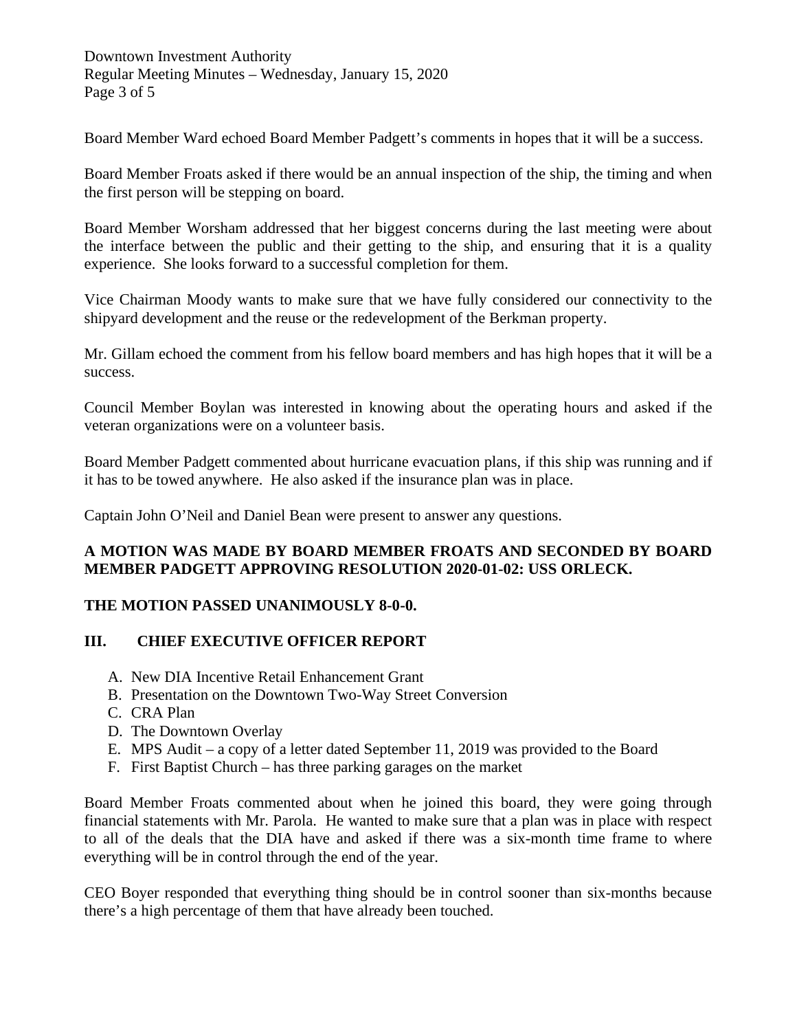Downtown Investment Authority Regular Meeting Minutes – Wednesday, January 15, 2020 Page 3 of 5

Board Member Ward echoed Board Member Padgett's comments in hopes that it will be a success.

Board Member Froats asked if there would be an annual inspection of the ship, the timing and when the first person will be stepping on board.

Board Member Worsham addressed that her biggest concerns during the last meeting were about the interface between the public and their getting to the ship, and ensuring that it is a quality experience. She looks forward to a successful completion for them.

Vice Chairman Moody wants to make sure that we have fully considered our connectivity to the shipyard development and the reuse or the redevelopment of the Berkman property.

Mr. Gillam echoed the comment from his fellow board members and has high hopes that it will be a success.

Council Member Boylan was interested in knowing about the operating hours and asked if the veteran organizations were on a volunteer basis.

Board Member Padgett commented about hurricane evacuation plans, if this ship was running and if it has to be towed anywhere. He also asked if the insurance plan was in place.

Captain John O'Neil and Daniel Bean were present to answer any questions.

### **A MOTION WAS MADE BY BOARD MEMBER FROATS AND SECONDED BY BOARD MEMBER PADGETT APPROVING RESOLUTION 2020-01-02: USS ORLECK.**

### **THE MOTION PASSED UNANIMOUSLY 8-0-0.**

### **III. CHIEF EXECUTIVE OFFICER REPORT**

- A. New DIA Incentive Retail Enhancement Grant
- B. Presentation on the Downtown Two-Way Street Conversion
- C. CRA Plan
- D. The Downtown Overlay
- E. MPS Audit a copy of a letter dated September 11, 2019 was provided to the Board
- F. First Baptist Church has three parking garages on the market

Board Member Froats commented about when he joined this board, they were going through financial statements with Mr. Parola. He wanted to make sure that a plan was in place with respect to all of the deals that the DIA have and asked if there was a six-month time frame to where everything will be in control through the end of the year.

CEO Boyer responded that everything thing should be in control sooner than six-months because there's a high percentage of them that have already been touched.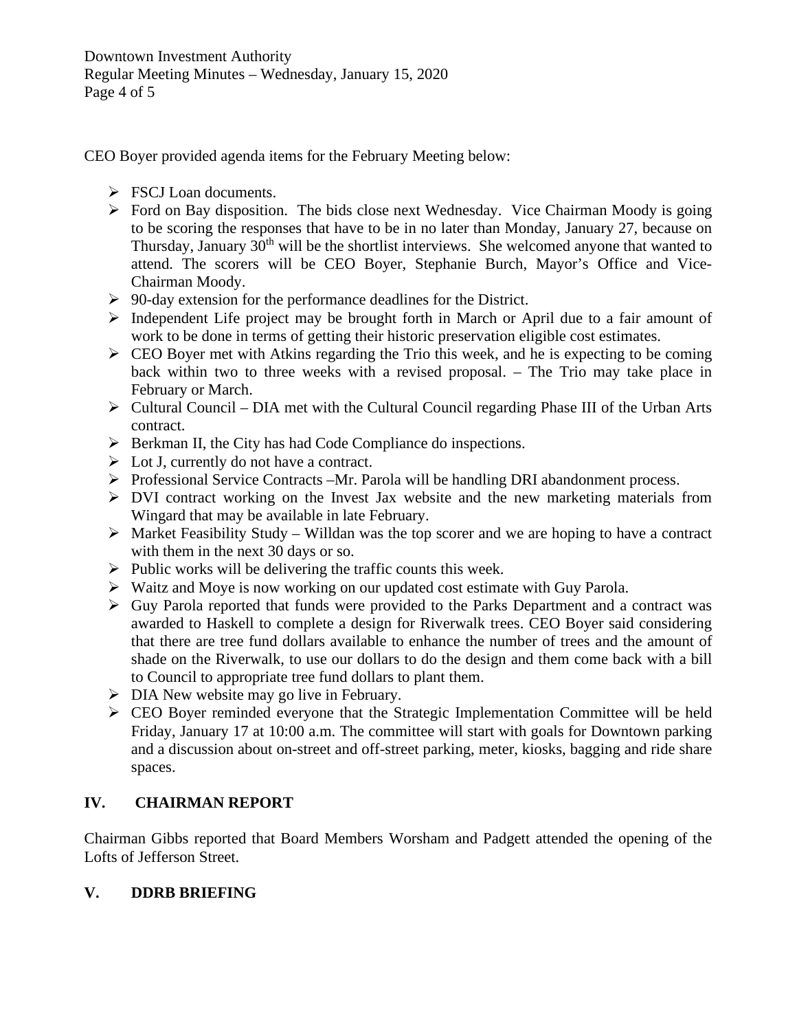CEO Boyer provided agenda items for the February Meeting below:

- $\triangleright$  FSCJ Loan documents.
- $\triangleright$  Ford on Bay disposition. The bids close next Wednesday. Vice Chairman Moody is going to be scoring the responses that have to be in no later than Monday, January 27, because on Thursday, January 30<sup>th</sup> will be the shortlist interviews. She welcomed anyone that wanted to attend. The scorers will be CEO Boyer, Stephanie Burch, Mayor's Office and Vice-Chairman Moody.
- $\geq 90$ -day extension for the performance deadlines for the District.
- $\triangleright$  Independent Life project may be brought forth in March or April due to a fair amount of work to be done in terms of getting their historic preservation eligible cost estimates.
- $\triangleright$  CEO Boyer met with Atkins regarding the Trio this week, and he is expecting to be coming back within two to three weeks with a revised proposal. – The Trio may take place in February or March.
- $\triangleright$  Cultural Council DIA met with the Cultural Council regarding Phase III of the Urban Arts contract.
- $\triangleright$  Berkman II, the City has had Code Compliance do inspections.
- $\triangleright$  Lot J, currently do not have a contract.
- Professional Service Contracts –Mr. Parola will be handling DRI abandonment process.
- DVI contract working on the Invest Jax website and the new marketing materials from Wingard that may be available in late February.
- $\triangleright$  Market Feasibility Study Willdan was the top scorer and we are hoping to have a contract with them in the next 30 days or so.
- $\triangleright$  Public works will be delivering the traffic counts this week.
- Waitz and Moye is now working on our updated cost estimate with Guy Parola.
- $\triangleright$  Guy Parola reported that funds were provided to the Parks Department and a contract was awarded to Haskell to complete a design for Riverwalk trees. CEO Boyer said considering that there are tree fund dollars available to enhance the number of trees and the amount of shade on the Riverwalk, to use our dollars to do the design and them come back with a bill to Council to appropriate tree fund dollars to plant them.
- $\triangleright$  DIA New website may go live in February.
- CEO Boyer reminded everyone that the Strategic Implementation Committee will be held Friday, January 17 at 10:00 a.m. The committee will start with goals for Downtown parking and a discussion about on-street and off-street parking, meter, kiosks, bagging and ride share spaces.

# **IV. CHAIRMAN REPORT**

Chairman Gibbs reported that Board Members Worsham and Padgett attended the opening of the Lofts of Jefferson Street.

# **V. DDRB BRIEFING**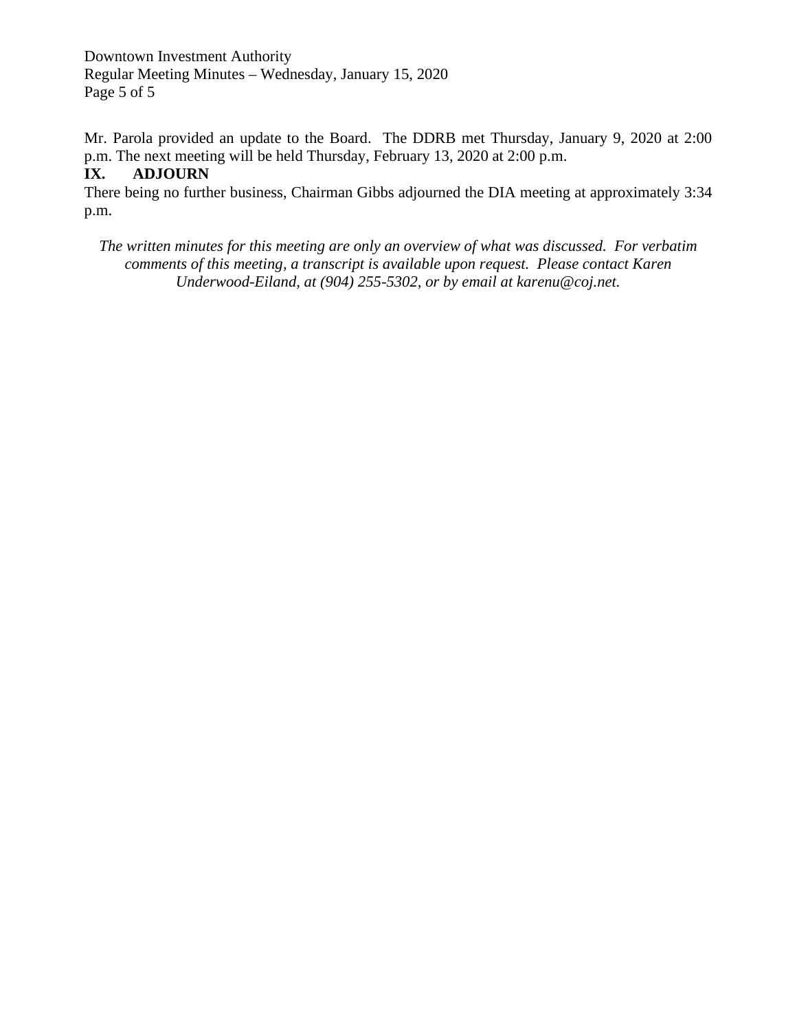Downtown Investment Authority Regular Meeting Minutes – Wednesday, January 15, 2020 Page 5 of 5

Mr. Parola provided an update to the Board. The DDRB met Thursday, January 9, 2020 at 2:00 p.m. The next meeting will be held Thursday, February 13, 2020 at 2:00 p.m.

### **IX. ADJOURN**

There being no further business, Chairman Gibbs adjourned the DIA meeting at approximately 3:34 p.m.

*The written minutes for this meeting are only an overview of what was discussed. For verbatim comments of this meeting, a transcript is available upon request. Please contact Karen Underwood-Eiland, at (904) 255-5302, or by email at karenu@coj.net.*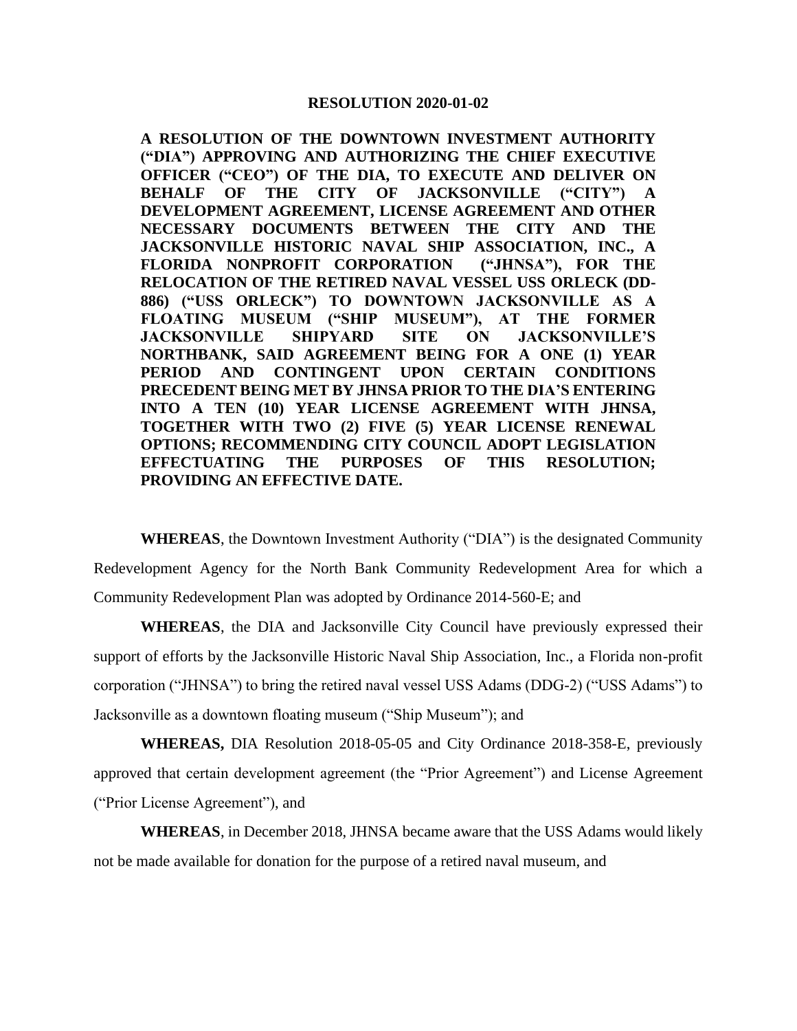#### **RESOLUTION 2020-01-02**

**A RESOLUTION OF THE DOWNTOWN INVESTMENT AUTHORITY ("DIA") APPROVING AND AUTHORIZING THE CHIEF EXECUTIVE OFFICER ("CEO") OF THE DIA, TO EXECUTE AND DELIVER ON BEHALF OF THE CITY OF JACKSONVILLE ("CITY") A DEVELOPMENT AGREEMENT, LICENSE AGREEMENT AND OTHER NECESSARY DOCUMENTS BETWEEN THE CITY AND THE JACKSONVILLE HISTORIC NAVAL SHIP ASSOCIATION, INC., A FLORIDA NONPROFIT CORPORATION ("JHNSA"), FOR THE RELOCATION OF THE RETIRED NAVAL VESSEL USS ORLECK (DD-886) ("USS ORLECK") TO DOWNTOWN JACKSONVILLE AS A FLOATING MUSEUM ("SHIP MUSEUM"), AT THE FORMER JACKSONVILLE SHIPYARD SITE ON JACKSONVILLE'S NORTHBANK, SAID AGREEMENT BEING FOR A ONE (1) YEAR PERIOD AND CONTINGENT UPON CERTAIN CONDITIONS PRECEDENT BEING MET BY JHNSA PRIOR TO THE DIA'S ENTERING INTO A TEN (10) YEAR LICENSE AGREEMENT WITH JHNSA, TOGETHER WITH TWO (2) FIVE (5) YEAR LICENSE RENEWAL OPTIONS; RECOMMENDING CITY COUNCIL ADOPT LEGISLATION EFFECTUATING THE PURPOSES OF THIS RESOLUTION; PROVIDING AN EFFECTIVE DATE.**

**WHEREAS**, the Downtown Investment Authority ("DIA") is the designated Community Redevelopment Agency for the North Bank Community Redevelopment Area for which a Community Redevelopment Plan was adopted by Ordinance 2014-560-E; and

**WHEREAS**, the DIA and Jacksonville City Council have previously expressed their support of efforts by the Jacksonville Historic Naval Ship Association, Inc., a Florida non-profit corporation ("JHNSA") to bring the retired naval vessel USS Adams (DDG-2) ("USS Adams") to Jacksonville as a downtown floating museum ("Ship Museum"); and

**WHEREAS,** DIA Resolution 2018-05-05 and City Ordinance 2018-358-E, previously approved that certain development agreement (the "Prior Agreement") and License Agreement ("Prior License Agreement"), and

**WHEREAS**, in December 2018, JHNSA became aware that the USS Adams would likely not be made available for donation for the purpose of a retired naval museum, and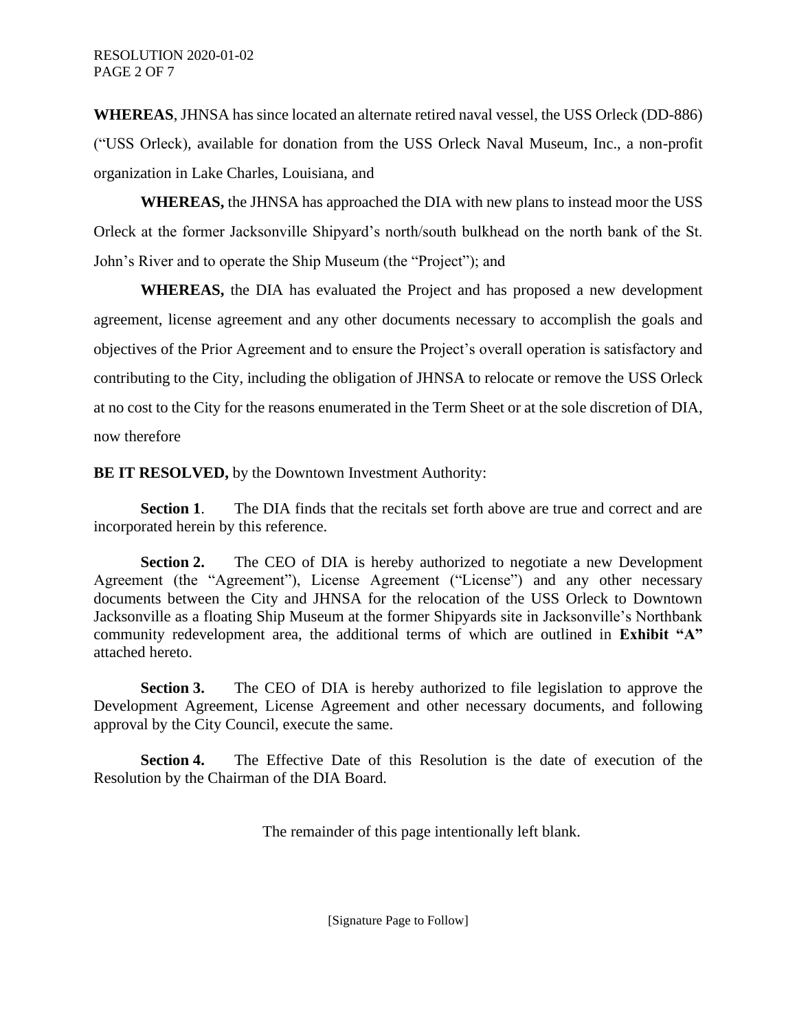**WHEREAS**, JHNSA has since located an alternate retired naval vessel, the USS Orleck (DD-886) ("USS Orleck), available for donation from the USS Orleck Naval Museum, Inc., a non-profit organization in Lake Charles, Louisiana, and

**WHEREAS,** the JHNSA has approached the DIA with new plans to instead moor the USS Orleck at the former Jacksonville Shipyard's north/south bulkhead on the north bank of the St. John's River and to operate the Ship Museum (the "Project"); and

**WHEREAS,** the DIA has evaluated the Project and has proposed a new development agreement, license agreement and any other documents necessary to accomplish the goals and objectives of the Prior Agreement and to ensure the Project's overall operation is satisfactory and contributing to the City, including the obligation of JHNSA to relocate or remove the USS Orleck at no cost to the City for the reasons enumerated in the Term Sheet or at the sole discretion of DIA, now therefore

**BE IT RESOLVED,** by the Downtown Investment Authority:

**Section 1.** The DIA finds that the recitals set forth above are true and correct and are incorporated herein by this reference.

**Section 2.** The CEO of DIA is hereby authorized to negotiate a new Development Agreement (the "Agreement"), License Agreement ("License") and any other necessary documents between the City and JHNSA for the relocation of the USS Orleck to Downtown Jacksonville as a floating Ship Museum at the former Shipyards site in Jacksonville's Northbank community redevelopment area, the additional terms of which are outlined in **Exhibit "A"** attached hereto.

**Section 3.** The CEO of DIA is hereby authorized to file legislation to approve the Development Agreement, License Agreement and other necessary documents, and following approval by the City Council, execute the same.

**Section 4.** The Effective Date of this Resolution is the date of execution of the Resolution by the Chairman of the DIA Board.

The remainder of this page intentionally left blank.

[Signature Page to Follow]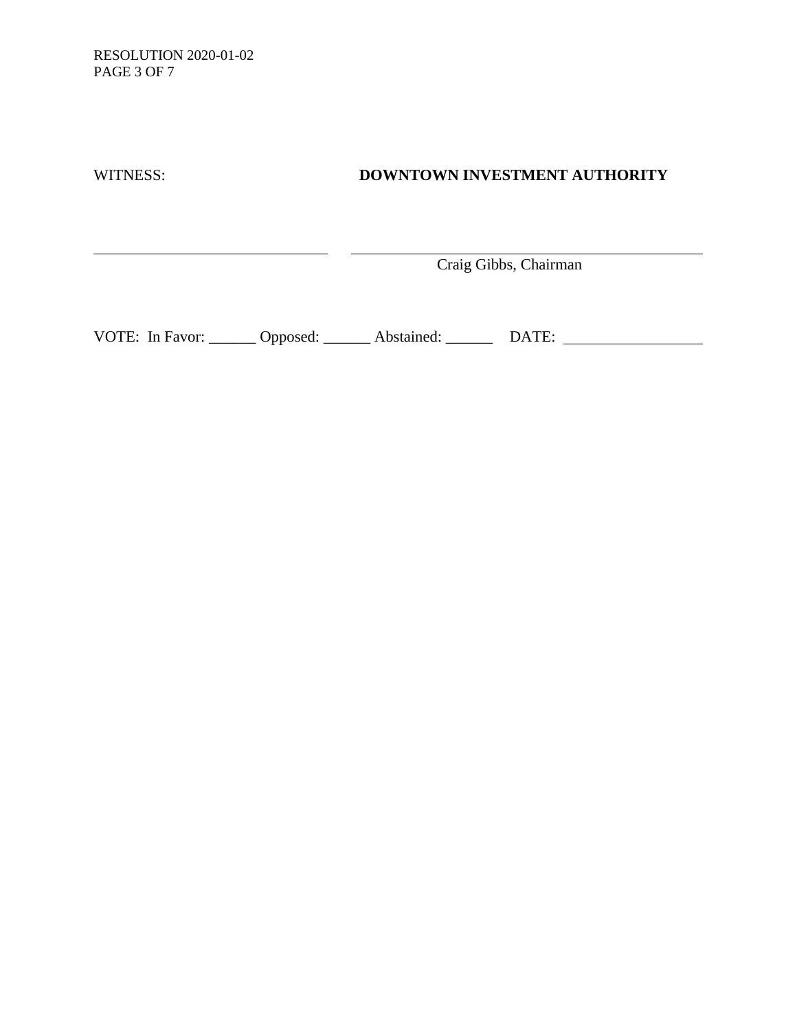RESOLUTION 2020-01-02 PAGE 3 OF 7

<u> 1989 - Johann Barn, mars ann an t-Amhair an t-Amhair an t-Amhair an t-Amhair an t-Amhair an t-Amhair an t-Amh</u>

## WITNESS: **DOWNTOWN INVESTMENT AUTHORITY**

Craig Gibbs, Chairman

<u> 1980 - Johann Barbara, martin a</u>

VOTE: In Favor: \_\_\_\_\_\_ Opposed: \_\_\_\_\_\_ Abstained: \_\_\_\_\_\_ DATE: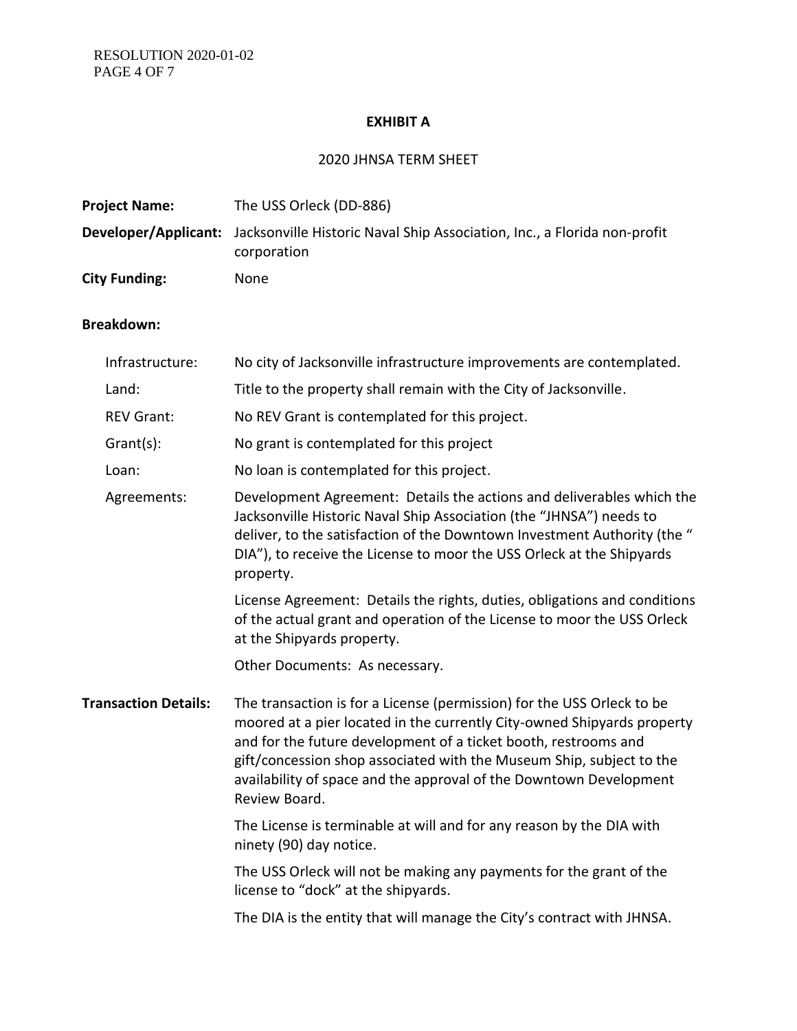#### **EXHIBIT A**

## 2020 JHNSA TERM SHEET

| <b>Project Name:</b> | The USS Orleck (DD-886)                                                                                             |
|----------------------|---------------------------------------------------------------------------------------------------------------------|
|                      | <b>Developer/Applicant:</b> Jacksonville Historic Naval Ship Association, Inc., a Florida non-profit<br>corporation |
| <b>City Funding:</b> | None                                                                                                                |

# **Breakdown:**

| Infrastructure:             | No city of Jacksonville infrastructure improvements are contemplated.                                                                                                                                                                                                                                                                                                               |
|-----------------------------|-------------------------------------------------------------------------------------------------------------------------------------------------------------------------------------------------------------------------------------------------------------------------------------------------------------------------------------------------------------------------------------|
| Land:                       | Title to the property shall remain with the City of Jacksonville.                                                                                                                                                                                                                                                                                                                   |
| <b>REV Grant:</b>           | No REV Grant is contemplated for this project.                                                                                                                                                                                                                                                                                                                                      |
| Grant(s):                   | No grant is contemplated for this project                                                                                                                                                                                                                                                                                                                                           |
| Loan:                       | No loan is contemplated for this project.                                                                                                                                                                                                                                                                                                                                           |
| Agreements:                 | Development Agreement: Details the actions and deliverables which the<br>Jacksonville Historic Naval Ship Association (the "JHNSA") needs to<br>deliver, to the satisfaction of the Downtown Investment Authority (the "<br>DIA"), to receive the License to moor the USS Orleck at the Shipyards<br>property.                                                                      |
|                             | License Agreement: Details the rights, duties, obligations and conditions<br>of the actual grant and operation of the License to moor the USS Orleck<br>at the Shipyards property.                                                                                                                                                                                                  |
|                             | Other Documents: As necessary.                                                                                                                                                                                                                                                                                                                                                      |
| <b>Transaction Details:</b> | The transaction is for a License (permission) for the USS Orleck to be<br>moored at a pier located in the currently City-owned Shipyards property<br>and for the future development of a ticket booth, restrooms and<br>gift/concession shop associated with the Museum Ship, subject to the<br>availability of space and the approval of the Downtown Development<br>Review Board. |
|                             | The License is terminable at will and for any reason by the DIA with<br>ninety (90) day notice.                                                                                                                                                                                                                                                                                     |
|                             | The USS Orleck will not be making any payments for the grant of the<br>license to "dock" at the shipyards.                                                                                                                                                                                                                                                                          |
|                             | The DIA is the entity that will manage the City's contract with JHNSA.                                                                                                                                                                                                                                                                                                              |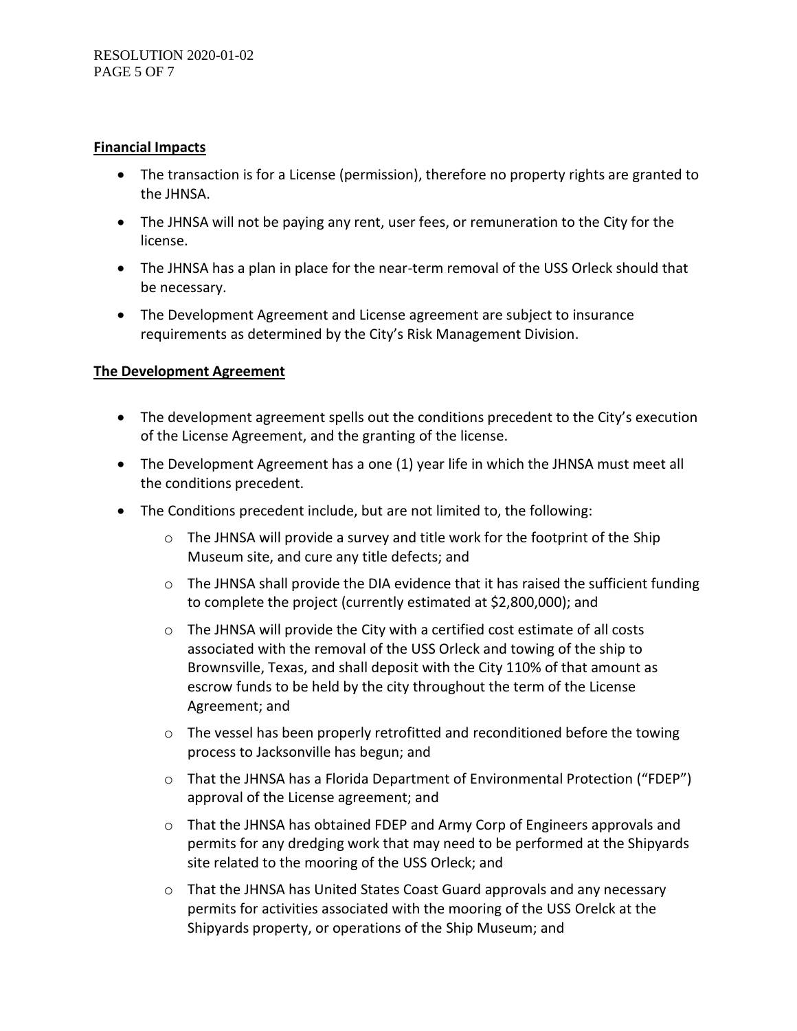#### **Financial Impacts**

- The transaction is for a License (permission), therefore no property rights are granted to the JHNSA.
- The JHNSA will not be paying any rent, user fees, or remuneration to the City for the license.
- The JHNSA has a plan in place for the near-term removal of the USS Orleck should that be necessary.
- The Development Agreement and License agreement are subject to insurance requirements as determined by the City's Risk Management Division.

### **The Development Agreement**

- The development agreement spells out the conditions precedent to the City's execution of the License Agreement, and the granting of the license.
- The Development Agreement has a one (1) year life in which the JHNSA must meet all the conditions precedent.
- The Conditions precedent include, but are not limited to, the following:
	- $\circ$  The JHNSA will provide a survey and title work for the footprint of the Ship Museum site, and cure any title defects; and
	- $\circ$  The JHNSA shall provide the DIA evidence that it has raised the sufficient funding to complete the project (currently estimated at \$2,800,000); and
	- o The JHNSA will provide the City with a certified cost estimate of all costs associated with the removal of the USS Orleck and towing of the ship to Brownsville, Texas, and shall deposit with the City 110% of that amount as escrow funds to be held by the city throughout the term of the License Agreement; and
	- o The vessel has been properly retrofitted and reconditioned before the towing process to Jacksonville has begun; and
	- o That the JHNSA has a Florida Department of Environmental Protection ("FDEP") approval of the License agreement; and
	- $\circ$  That the JHNSA has obtained FDEP and Army Corp of Engineers approvals and permits for any dredging work that may need to be performed at the Shipyards site related to the mooring of the USS Orleck; and
	- $\circ$  That the JHNSA has United States Coast Guard approvals and any necessary permits for activities associated with the mooring of the USS Orelck at the Shipyards property, or operations of the Ship Museum; and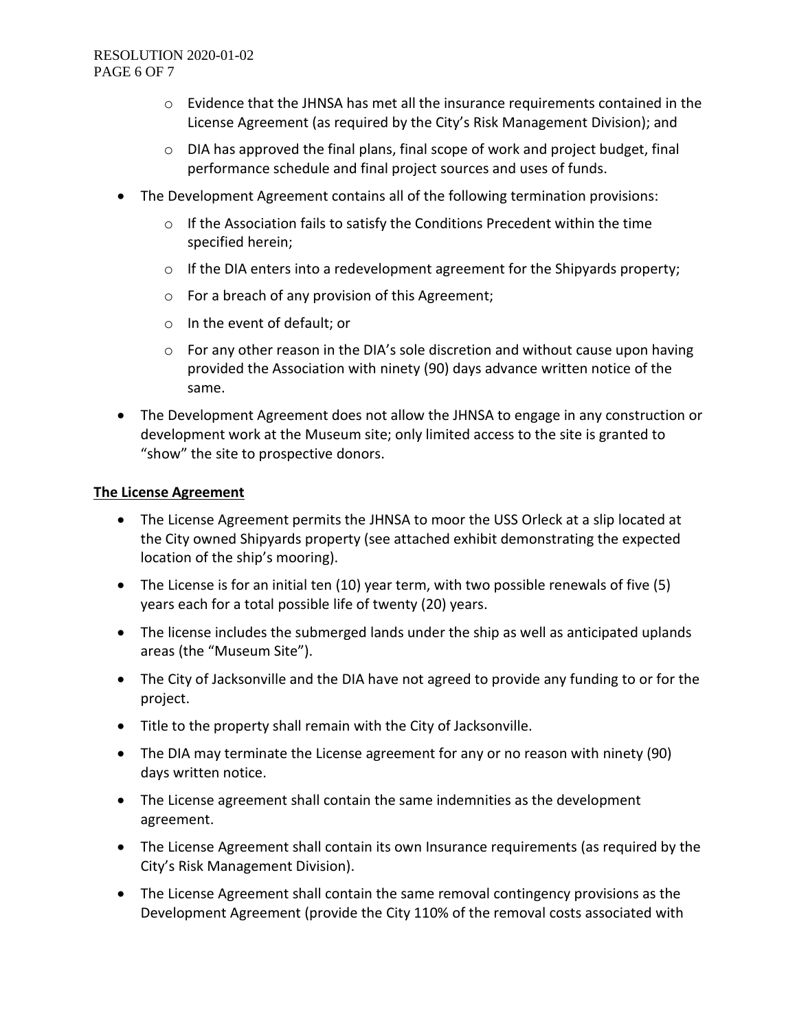#### RESOLUTION 2020-01-02 PAGE 6 OF 7

- $\circ$  Evidence that the JHNSA has met all the insurance requirements contained in the License Agreement (as required by the City's Risk Management Division); and
- o DIA has approved the final plans, final scope of work and project budget, final performance schedule and final project sources and uses of funds.
- The Development Agreement contains all of the following termination provisions:
	- $\circ$  If the Association fails to satisfy the Conditions Precedent within the time specified herein;
	- o If the DIA enters into a redevelopment agreement for the Shipyards property;
	- o For a breach of any provision of this Agreement;
	- o In the event of default; or
	- $\circ$  For any other reason in the DIA's sole discretion and without cause upon having provided the Association with ninety (90) days advance written notice of the same.
- The Development Agreement does not allow the JHNSA to engage in any construction or development work at the Museum site; only limited access to the site is granted to "show" the site to prospective donors.

#### **The License Agreement**

- The License Agreement permits the JHNSA to moor the USS Orleck at a slip located at the City owned Shipyards property (see attached exhibit demonstrating the expected location of the ship's mooring).
- The License is for an initial ten (10) year term, with two possible renewals of five (5) years each for a total possible life of twenty (20) years.
- The license includes the submerged lands under the ship as well as anticipated uplands areas (the "Museum Site").
- The City of Jacksonville and the DIA have not agreed to provide any funding to or for the project.
- Title to the property shall remain with the City of Jacksonville.
- The DIA may terminate the License agreement for any or no reason with ninety (90) days written notice.
- The License agreement shall contain the same indemnities as the development agreement.
- The License Agreement shall contain its own Insurance requirements (as required by the City's Risk Management Division).
- The License Agreement shall contain the same removal contingency provisions as the Development Agreement (provide the City 110% of the removal costs associated with